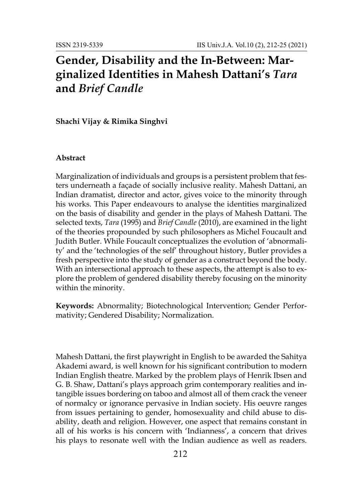## **Gender, Disability and the In-Between: Marginalized Identities in Mahesh Dattani's** *Tara* **and** *Brief Candle*

**Shachi Vijay & Rimika Singhvi**

## **Abstract**

Marginalization of individuals and groups is a persistent problem that festers underneath a façade of socially inclusive reality. Mahesh Dattani, an Indian dramatist, director and actor, gives voice to the minority through his works. This Paper endeavours to analyse the identities marginalized on the basis of disability and gender in the plays of Mahesh Dattani. The selected texts, *Tara* (1995) and *Brief Candle* (2010), are examined in the light of the theories propounded by such philosophers as Michel Foucault and Judith Butler. While Foucault conceptualizes the evolution of 'abnormality' and the 'technologies of the self' throughout history, Butler provides a fresh perspective into the study of gender as a construct beyond the body. With an intersectional approach to these aspects, the attempt is also to explore the problem of gendered disability thereby focusing on the minority within the minority.

**Keywords:** Abnormality; Biotechnological Intervention; Gender Performativity; Gendered Disability; Normalization.

Mahesh Dattani, the first playwright in English to be awarded the Sahitya Akademi award, is well known for his significant contribution to modern Indian English theatre. Marked by the problem plays of Henrik Ibsen and G. B. Shaw, Dattani's plays approach grim contemporary realities and intangible issues bordering on taboo and almost all of them crack the veneer of normalcy or ignorance pervasive in Indian society. His oeuvre ranges from issues pertaining to gender, homosexuality and child abuse to disability, death and religion. However, one aspect that remains constant in all of his works is his concern with 'Indianness', a concern that drives his plays to resonate well with the Indian audience as well as readers.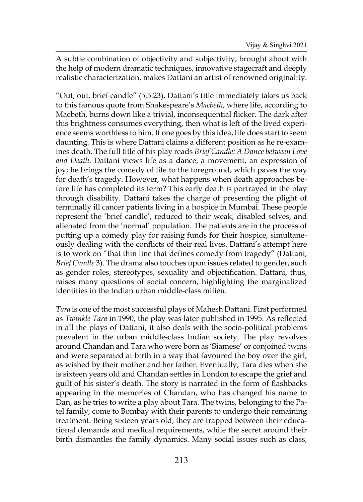A subtle combination of objectivity and subjectivity, brought about with the help of modern dramatic techniques, innovative stagecraft and deeply realistic characterization, makes Dattani an artist of renowned originality.

"Out, out, brief candle" (5.5.23), Dattani's title immediately takes us back to this famous quote from Shakespeare's *Macbeth*, where life, according to Macbeth, burns down like a trivial, inconsequential flicker. The dark after this brightness consumes everything, then what is left of the lived experience seems worthless to him. If one goes by this idea, life does start to seem daunting. This is where Dattani claims a different position as he re-examines death. The full title of his play reads *Brief Candle: A Dance between Love and Death*. Dattani views life as a dance, a movement, an expression of joy; he brings the comedy of life to the foreground, which paves the way for death's tragedy. However, what happens when death approaches before life has completed its term? This early death is portrayed in the play through disability. Dattani takes the charge of presenting the plight of terminally ill cancer patients living in a hospice in Mumbai. These people represent the 'brief candle', reduced to their weak, disabled selves, and alienated from the 'normal' population. The patients are in the process of putting up a comedy play for raising funds for their hospice, simultaneously dealing with the conflicts of their real lives. Dattani's attempt here is to work on "that thin line that defines comedy from tragedy" (Dattani, *Brief Candle* 3). The drama also touches upon issues related to gender, such as gender roles, stereotypes, sexuality and objectification. Dattani, thus, raises many questions of social concern, highlighting the marginalized identities in the Indian urban middle-class milieu.

*Tara* is one of the most successful plays of Mahesh Dattani. First performed as *Twinkle Tara* in 1990, the play was later published in 1995. As reflected in all the plays of Dattani, it also deals with the socio-political problems prevalent in the urban middle-class Indian society. The play revolves around Chandan and Tara who were born as 'Siamese' or conjoined twins and were separated at birth in a way that favoured the boy over the girl, as wished by their mother and her father. Eventually, Tara dies when she is sixteen years old and Chandan settles in London to escape the grief and guilt of his sister's death. The story is narrated in the form of flashbacks appearing in the memories of Chandan, who has changed his name to Dan, as he tries to write a play about Tara. The twins, belonging to the Patel family, come to Bombay with their parents to undergo their remaining treatment. Being sixteen years old, they are trapped between their educational demands and medical requirements, while the secret around their birth dismantles the family dynamics. Many social issues such as class,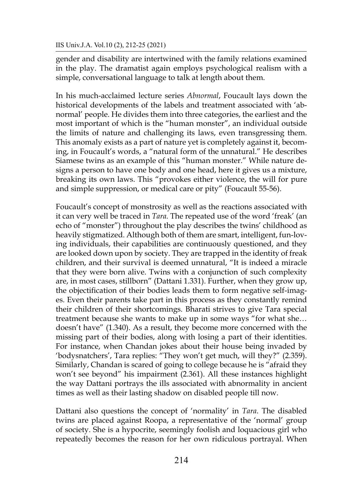gender and disability are intertwined with the family relations examined in the play. The dramatist again employs psychological realism with a simple, conversational language to talk at length about them.

In his much-acclaimed lecture series *Abnormal*, Foucault lays down the historical developments of the labels and treatment associated with 'abnormal' people. He divides them into three categories, the earliest and the most important of which is the "human monster", an individual outside the limits of nature and challenging its laws, even transgressing them. This anomaly exists as a part of nature yet is completely against it, becoming, in Foucault's words, a "natural form of the unnatural." He describes Siamese twins as an example of this "human monster." While nature designs a person to have one body and one head, here it gives us a mixture, breaking its own laws. This "provokes either violence, the will for pure and simple suppression, or medical care or pity" (Foucault 55-56).

Foucault's concept of monstrosity as well as the reactions associated with it can very well be traced in *Tara.* The repeated use of the word 'freak' (an echo of "monster") throughout the play describes the twins' childhood as heavily stigmatized. Although both of them are smart, intelligent, fun-loving individuals, their capabilities are continuously questioned, and they are looked down upon by society. They are trapped in the identity of freak children, and their survival is deemed unnatural, "It is indeed a miracle that they were born alive. Twins with a conjunction of such complexity are, in most cases, stillborn" (Dattani 1.331). Further, when they grow up, the objectification of their bodies leads them to form negative self-images. Even their parents take part in this process as they constantly remind their children of their shortcomings. Bharati strives to give Tara special treatment because she wants to make up in some ways "for what she… doesn't have" (1.340). As a result, they become more concerned with the missing part of their bodies, along with losing a part of their identities. For instance, when Chandan jokes about their house being invaded by 'bodysnatchers', Tara replies: "They won't get much, will they?" (2.359). Similarly, Chandan is scared of going to college because he is "afraid they won't see beyond" his impairment (2.361). All these instances highlight the way Dattani portrays the ills associated with abnormality in ancient times as well as their lasting shadow on disabled people till now.

Dattani also questions the concept of 'normality' in *Tara*. The disabled twins are placed against Roopa, a representative of the 'normal' group of society. She is a hypocrite, seemingly foolish and loquacious girl who repeatedly becomes the reason for her own ridiculous portrayal. When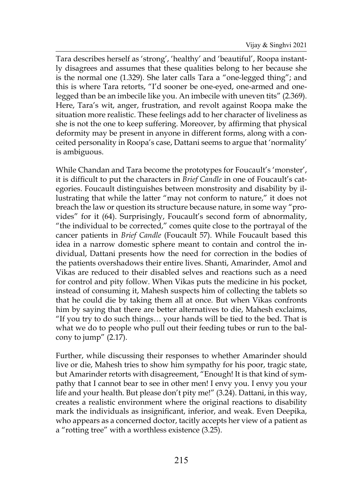Tara describes herself as 'strong', 'healthy' and 'beautiful', Roopa instantly disagrees and assumes that these qualities belong to her because she is the normal one (1.329). She later calls Tara a "one-legged thing"; and this is where Tara retorts, "I'd sooner be one-eyed, one-armed and onelegged than be an imbecile like you. An imbecile with uneven tits" (2.369). Here, Tara's wit, anger, frustration, and revolt against Roopa make the situation more realistic. These feelings add to her character of liveliness as she is not the one to keep suffering. Moreover, by affirming that physical deformity may be present in anyone in different forms, along with a conceited personality in Roopa's case, Dattani seems to argue that 'normality' is ambiguous.

While Chandan and Tara become the prototypes for Foucault's 'monster', it is difficult to put the characters in *Brief Candle* in one of Foucault's categories. Foucault distinguishes between monstrosity and disability by illustrating that while the latter "may not conform to nature," it does not breach the law or question its structure because nature, in some way "provides" for it (64). Surprisingly, Foucault's second form of abnormality, "the individual to be corrected," comes quite close to the portrayal of the cancer patients in *Brief Candle* (Foucault 57). While Foucault based this idea in a narrow domestic sphere meant to contain and control the individual, Dattani presents how the need for correction in the bodies of the patients overshadows their entire lives. Shanti, Amarinder, Amol and Vikas are reduced to their disabled selves and reactions such as a need for control and pity follow. When Vikas puts the medicine in his pocket, instead of consuming it, Mahesh suspects him of collecting the tablets so that he could die by taking them all at once. But when Vikas confronts him by saying that there are better alternatives to die, Mahesh exclaims, "If you try to do such things… your hands will be tied to the bed. That is what we do to people who pull out their feeding tubes or run to the balcony to jump" (2.17).

Further, while discussing their responses to whether Amarinder should live or die, Mahesh tries to show him sympathy for his poor, tragic state, but Amarinder retorts with disagreement, "Enough! It is that kind of sympathy that I cannot bear to see in other men! I envy you. I envy you your life and your health. But please don't pity me!" (3.24). Dattani, in this way, creates a realistic environment where the original reactions to disability mark the individuals as insignificant, inferior, and weak. Even Deepika, who appears as a concerned doctor, tacitly accepts her view of a patient as a "rotting tree" with a worthless existence (3.25).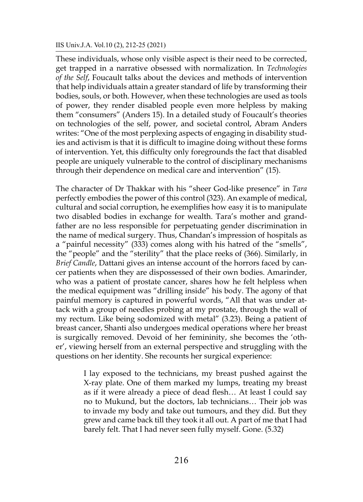These individuals, whose only visible aspect is their need to be corrected, get trapped in a narrative obsessed with normalization. In *Technologies of the Self*, Foucault talks about the devices and methods of intervention that help individuals attain a greater standard of life by transforming their bodies, souls, or both. However, when these technologies are used as tools of power, they render disabled people even more helpless by making them "consumers" (Anders 15). In a detailed study of Foucault's theories on technologies of the self, power, and societal control, Abram Anders writes: "One of the most perplexing aspects of engaging in disability studies and activism is that it is difficult to imagine doing without these forms of intervention. Yet, this difficulty only foregrounds the fact that disabled people are uniquely vulnerable to the control of disciplinary mechanisms through their dependence on medical care and intervention" (15).

The character of Dr Thakkar with his "sheer God-like presence" in *Tara*  perfectly embodies the power of this control (323). An example of medical, cultural and social corruption, he exemplifies how easy it is to manipulate two disabled bodies in exchange for wealth. Tara's mother and grandfather are no less responsible for perpetuating gender discrimination in the name of medical surgery. Thus, Chandan's impression of hospitals as a "painful necessity" (333) comes along with his hatred of the "smells", the "people" and the "sterility" that the place reeks of (366). Similarly, in *Brief Candle*, Dattani gives an intense account of the horrors faced by cancer patients when they are dispossessed of their own bodies. Amarinder, who was a patient of prostate cancer, shares how he felt helpless when the medical equipment was "drilling inside" his body. The agony of that painful memory is captured in powerful words, "All that was under attack with a group of needles probing at my prostate, through the wall of my rectum. Like being sodomized with metal" (3.23). Being a patient of breast cancer, Shanti also undergoes medical operations where her breast is surgically removed. Devoid of her femininity, she becomes the 'other', viewing herself from an external perspective and struggling with the questions on her identity. She recounts her surgical experience:

> I lay exposed to the technicians, my breast pushed against the X-ray plate. One of them marked my lumps, treating my breast as if it were already a piece of dead flesh… At least I could say no to Mukund, but the doctors, lab technicians… Their job was to invade my body and take out tumours, and they did. But they grew and came back till they took it all out. A part of me that I had barely felt. That I had never seen fully myself. Gone. (5.32)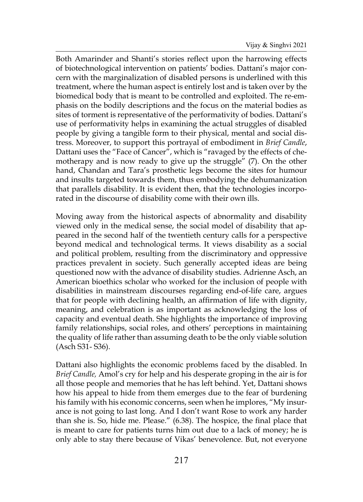Both Amarinder and Shanti's stories reflect upon the harrowing effects of biotechnological intervention on patients' bodies. Dattani's major concern with the marginalization of disabled persons is underlined with this treatment, where the human aspect is entirely lost and is taken over by the biomedical body that is meant to be controlled and exploited. The re-emphasis on the bodily descriptions and the focus on the material bodies as sites of torment is representative of the performativity of bodies. Dattani's use of performativity helps in examining the actual struggles of disabled people by giving a tangible form to their physical, mental and social distress. Moreover, to support this portrayal of embodiment in *Brief Candle*, Dattani uses the "Face of Cancer", which is "ravaged by the effects of chemotherapy and is now ready to give up the struggle" (7). On the other hand, Chandan and Tara's prosthetic legs become the sites for humour and insults targeted towards them, thus embodying the dehumanization that parallels disability. It is evident then, that the technologies incorporated in the discourse of disability come with their own ills.

Moving away from the historical aspects of abnormality and disability viewed only in the medical sense, the social model of disability that appeared in the second half of the twentieth century calls for a perspective beyond medical and technological terms. It views disability as a social and political problem, resulting from the discriminatory and oppressive practices prevalent in society. Such generally accepted ideas are being questioned now with the advance of disability studies. Adrienne Asch, an American bioethics scholar who worked for the inclusion of people with disabilities in mainstream discourses regarding end-of-life care, argues that for people with declining health, an affirmation of life with dignity, meaning, and celebration is as important as acknowledging the loss of capacity and eventual death. She highlights the importance of improving family relationships, social roles, and others' perceptions in maintaining the quality of life rather than assuming death to be the only viable solution (Asch S31- S36).

Dattani also highlights the economic problems faced by the disabled. In *Brief Candle,* Amol's cry for help and his desperate groping in the air is for all those people and memories that he has left behind. Yet, Dattani shows how his appeal to hide from them emerges due to the fear of burdening his family with his economic concerns, seen when he implores, "My insurance is not going to last long. And I don't want Rose to work any harder than she is. So, hide me. Please." (6.38). The hospice, the final place that is meant to care for patients turns him out due to a lack of money; he is only able to stay there because of Vikas' benevolence. But, not everyone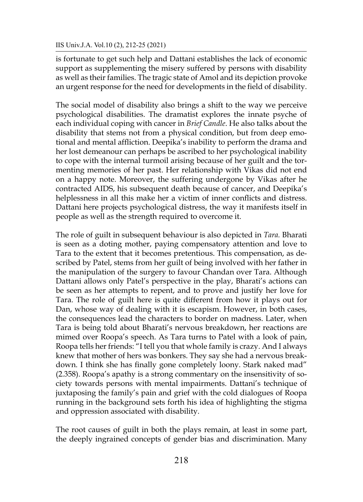is fortunate to get such help and Dattani establishes the lack of economic support as supplementing the misery suffered by persons with disability as well as their families. The tragic state of Amol and its depiction provoke an urgent response for the need for developments in the field of disability.

The social model of disability also brings a shift to the way we perceive psychological disabilities. The dramatist explores the innate psyche of each individual coping with cancer in *Brief Candle*. He also talks about the disability that stems not from a physical condition, but from deep emotional and mental affliction. Deepika's inability to perform the drama and her lost demeanour can perhaps be ascribed to her psychological inability to cope with the internal turmoil arising because of her guilt and the tormenting memories of her past. Her relationship with Vikas did not end on a happy note. Moreover, the suffering undergone by Vikas after he contracted AIDS, his subsequent death because of cancer, and Deepika's helplessness in all this make her a victim of inner conflicts and distress. Dattani here projects psychological distress, the way it manifests itself in people as well as the strength required to overcome it.

The role of guilt in subsequent behaviour is also depicted in *Tara.* Bharati is seen as a doting mother, paying compensatory attention and love to Tara to the extent that it becomes pretentious. This compensation, as described by Patel, stems from her guilt of being involved with her father in the manipulation of the surgery to favour Chandan over Tara. Although Dattani allows only Patel's perspective in the play, Bharati's actions can be seen as her attempts to repent, and to prove and justify her love for Tara. The role of guilt here is quite different from how it plays out for Dan, whose way of dealing with it is escapism. However, in both cases, the consequences lead the characters to border on madness. Later, when Tara is being told about Bharati's nervous breakdown, her reactions are mimed over Roopa's speech. As Tara turns to Patel with a look of pain, Roopa tells her friends: "I tell you that whole family is crazy. And I always knew that mother of hers was bonkers. They say she had a nervous breakdown. I think she has finally gone completely loony. Stark naked mad" (2.358). Roopa's apathy is a strong commentary on the insensitivity of society towards persons with mental impairments. Dattani's technique of juxtaposing the family's pain and grief with the cold dialogues of Roopa running in the background sets forth his idea of highlighting the stigma and oppression associated with disability.

The root causes of guilt in both the plays remain, at least in some part, the deeply ingrained concepts of gender bias and discrimination. Many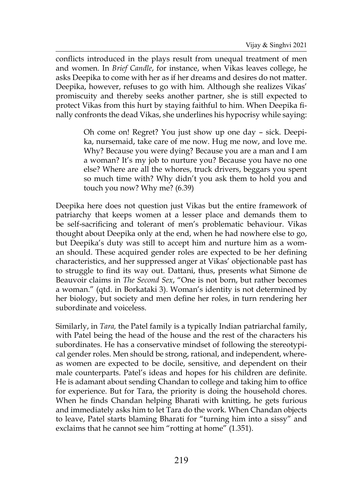conflicts introduced in the plays result from unequal treatment of men and women. In *Brief Candle*, for instance, when Vikas leaves college, he asks Deepika to come with her as if her dreams and desires do not matter. Deepika, however, refuses to go with him. Although she realizes Vikas' promiscuity and thereby seeks another partner, she is still expected to protect Vikas from this hurt by staying faithful to him. When Deepika finally confronts the dead Vikas, she underlines his hypocrisy while saying:

> Oh come on! Regret? You just show up one day – sick. Deepika, nursemaid, take care of me now. Hug me now, and love me. Why? Because you were dying? Because you are a man and I am a woman? It's my job to nurture you? Because you have no one else? Where are all the whores, truck drivers, beggars you spent so much time with? Why didn't you ask them to hold you and touch you now? Why me? (6.39)

Deepika here does not question just Vikas but the entire framework of patriarchy that keeps women at a lesser place and demands them to be self-sacrificing and tolerant of men's problematic behaviour. Vikas thought about Deepika only at the end, when he had nowhere else to go, but Deepika's duty was still to accept him and nurture him as a woman should. These acquired gender roles are expected to be her defining characteristics, and her suppressed anger at Vikas' objectionable past has to struggle to find its way out. Dattani, thus, presents what Simone de Beauvoir claims in *The Second Sex*, "One is not born, but rather becomes a woman." (qtd. in Borkataki 3). Woman's identity is not determined by her biology, but society and men define her roles, in turn rendering her subordinate and voiceless.

Similarly, in *Tara,* the Patel family is a typically Indian patriarchal family, with Patel being the head of the house and the rest of the characters his subordinates. He has a conservative mindset of following the stereotypical gender roles. Men should be strong, rational, and independent, whereas women are expected to be docile, sensitive, and dependent on their male counterparts. Patel's ideas and hopes for his children are definite. He is adamant about sending Chandan to college and taking him to office for experience. But for Tara, the priority is doing the household chores. When he finds Chandan helping Bharati with knitting, he gets furious and immediately asks him to let Tara do the work. When Chandan objects to leave, Patel starts blaming Bharati for "turning him into a sissy" and exclaims that he cannot see him "rotting at home" (1.351).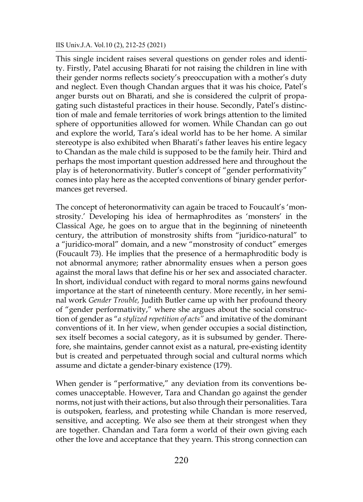This single incident raises several questions on gender roles and identity. Firstly, Patel accusing Bharati for not raising the children in line with their gender norms reflects society's preoccupation with a mother's duty and neglect. Even though Chandan argues that it was his choice, Patel's anger bursts out on Bharati, and she is considered the culprit of propagating such distasteful practices in their house. Secondly, Patel's distinction of male and female territories of work brings attention to the limited sphere of opportunities allowed for women. While Chandan can go out and explore the world, Tara's ideal world has to be her home. A similar stereotype is also exhibited when Bharati's father leaves his entire legacy to Chandan as the male child is supposed to be the family heir. Third and perhaps the most important question addressed here and throughout the play is of heteronormativity. Butler's concept of "gender performativity" comes into play here as the accepted conventions of binary gender performances get reversed.

The concept of heteronormativity can again be traced to Foucault's 'monstrosity.' Developing his idea of hermaphrodites as 'monsters' in the Classical Age, he goes on to argue that in the beginning of nineteenth century, the attribution of monstrosity shifts from "juridico-natural" to a "juridico-moral" domain, and a new "monstrosity of conduct" emerges (Foucault 73). He implies that the presence of a hermaphroditic body is not abnormal anymore; rather abnormality ensues when a person goes against the moral laws that define his or her sex and associated character. In short, individual conduct with regard to moral norms gains newfound importance at the start of nineteenth century. More recently, in her seminal work *Gender Trouble,* Judith Butler came up with her profound theory of "gender performativity," where she argues about the social construction of gender as "*a stylized repetition of acts"* and imitative of the dominant conventions of it. In her view, when gender occupies a social distinction, sex itself becomes a social category, as it is subsumed by gender. Therefore, she maintains, gender cannot exist as a natural, pre-existing identity but is created and perpetuated through social and cultural norms which assume and dictate a gender-binary existence (179).

When gender is "performative," any deviation from its conventions becomes unacceptable. However, Tara and Chandan go against the gender norms, not just with their actions, but also through their personalities. Tara is outspoken, fearless, and protesting while Chandan is more reserved, sensitive, and accepting. We also see them at their strongest when they are together. Chandan and Tara form a world of their own giving each other the love and acceptance that they yearn. This strong connection can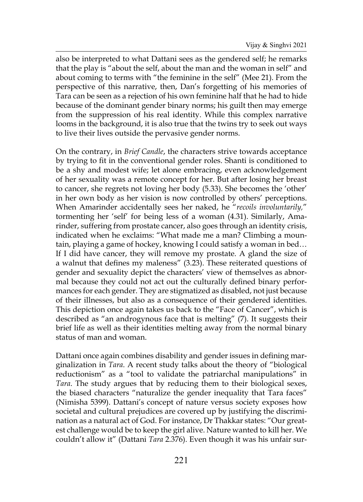also be interpreted to what Dattani sees as the gendered self; he remarks that the play is "about the self, about the man and the woman in self" and about coming to terms with "the feminine in the self" (Mee 21). From the perspective of this narrative, then, Dan's forgetting of his memories of Tara can be seen as a rejection of his own feminine half that he had to hide because of the dominant gender binary norms; his guilt then may emerge from the suppression of his real identity. While this complex narrative looms in the background, it is also true that the twins try to seek out ways to live their lives outside the pervasive gender norms.

On the contrary, in *Brief Candle*, the characters strive towards acceptance by trying to fit in the conventional gender roles. Shanti is conditioned to be a shy and modest wife; let alone embracing, even acknowledgement of her sexuality was a remote concept for her. But after losing her breast to cancer, she regrets not loving her body (5.33). She becomes the 'other' in her own body as her vision is now controlled by others' perceptions. When Amarinder accidentally sees her naked, he "*recoils involuntarily,*" tormenting her 'self' for being less of a woman (4.31). Similarly, Amarinder, suffering from prostate cancer, also goes through an identity crisis, indicated when he exclaims: "What made me a man? Climbing a mountain, playing a game of hockey, knowing I could satisfy a woman in bed… If I did have cancer, they will remove my prostate. A gland the size of a walnut that defines my maleness" (3.23). These reiterated questions of gender and sexuality depict the characters' view of themselves as abnormal because they could not act out the culturally defined binary performances for each gender. They are stigmatized as disabled, not just because of their illnesses, but also as a consequence of their gendered identities. This depiction once again takes us back to the "Face of Cancer", which is described as "an androgynous face that is melting" (7). It suggests their brief life as well as their identities melting away from the normal binary status of man and woman.

Dattani once again combines disability and gender issues in defining marginalization in *Tara*. A recent study talks about the theory of "biological reductionism" as a "tool to validate the patriarchal manipulations" in *Tara*. The study argues that by reducing them to their biological sexes, the biased characters "naturalize the gender inequality that Tara faces" (Nimisha 5399). Dattani's concept of nature versus society exposes how societal and cultural prejudices are covered up by justifying the discrimination as a natural act of God. For instance, Dr Thakkar states: "Our greatest challenge would be to keep the girl alive. Nature wanted to kill her. We couldn't allow it" (Dattani *Tara* 2.376). Even though it was his unfair sur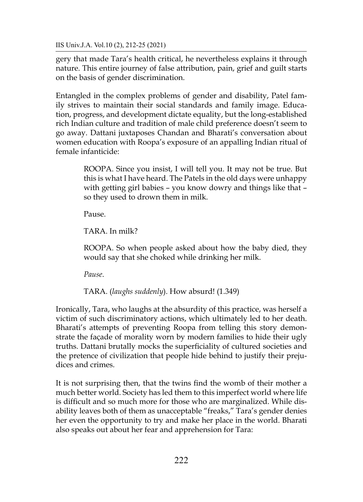IIS Univ.J.A. Vol.10 (2), 212-25 (2021)

gery that made Tara's health critical, he nevertheless explains it through nature. This entire journey of false attribution, pain, grief and guilt starts on the basis of gender discrimination.

Entangled in the complex problems of gender and disability, Patel family strives to maintain their social standards and family image. Education, progress, and development dictate equality, but the long-established rich Indian culture and tradition of male child preference doesn't seem to go away. Dattani juxtaposes Chandan and Bharati's conversation about women education with Roopa's exposure of an appalling Indian ritual of female infanticide:

> ROOPA. Since you insist, I will tell you. It may not be true. But this is what I have heard. The Patels in the old days were unhappy with getting girl babies – you know dowry and things like that – so they used to drown them in milk.

Pause.

TARA. In milk?

ROOPA. So when people asked about how the baby died, they would say that she choked while drinking her milk.

*Pause*.

TARA. (*laughs suddenly*). How absurd! (1.349)

Ironically, Tara, who laughs at the absurdity of this practice, was herself a victim of such discriminatory actions, which ultimately led to her death. Bharati's attempts of preventing Roopa from telling this story demonstrate the façade of morality worn by modern families to hide their ugly truths. Dattani brutally mocks the superficiality of cultured societies and the pretence of civilization that people hide behind to justify their prejudices and crimes.

It is not surprising then, that the twins find the womb of their mother a much better world. Society has led them to this imperfect world where life is difficult and so much more for those who are marginalized. While disability leaves both of them as unacceptable "freaks," Tara's gender denies her even the opportunity to try and make her place in the world. Bharati also speaks out about her fear and apprehension for Tara: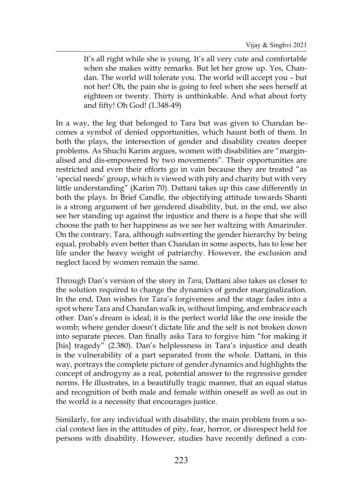It's all right while she is young. It's all very cute and comfortable when she makes witty remarks. But let her grow up. Yes, Chandan. The world will tolerate you. The world will accept you – but not her! Oh, the pain she is going to feel when she sees herself at eighteen or twenty. Thirty is unthinkable. And what about forty and fifty! Oh God! (1.348-49)

In a way, the leg that belonged to Tara but was given to Chandan becomes a symbol of denied opportunities, which haunt both of them. In both the plays, the intersection of gender and disability creates deeper problems. As Shuchi Karim argues, women with disabilities are "marginalised and dis-empowered by two movements". Their opportunities are restricted and even their efforts go in vain because they are treated "as 'special needs' group, which is viewed with pity and charity but with very little understanding" (Karim 70). Dattani takes up this case differently in both the plays. In Brief Candle, the objectifying attitude towards Shanti is a strong argument of her gendered disability, but, in the end, we also see her standing up against the injustice and there is a hope that she will choose the path to her happiness as we see her waltzing with Amarinder. On the contrary, Tara, although subverting the gender hierarchy by being equal, probably even better than Chandan in some aspects, has to lose her life under the heavy weight of patriarchy. However, the exclusion and neglect faced by women remain the same.

Through Dan's version of the story in *Tara*, Dattani also takes us closer to the solution required to change the dynamics of gender marginalization. In the end, Dan wishes for Tara's forgiveness and the stage fades into a spot where Tara and Chandan walk in, without limping, and embrace each other. Dan's dream is ideal; it is the perfect world like the one inside the womb; where gender doesn't dictate life and the self is not broken down into separate pieces. Dan finally asks Tara to forgive him "for making it [his] tragedy" (2.380). Dan's helplessness in Tara's injustice and death is the vulnerability of a part separated from the whole. Dattani, in this way, portrays the complete picture of gender dynamics and highlights the concept of androgyny as a real, potential answer to the regressive gender norms. He illustrates, in a beautifully tragic manner, that an equal status and recognition of both male and female within oneself as well as out in the world is a necessity that encourages justice.

Similarly, for any individual with disability, the main problem from a social context lies in the attitudes of pity, fear, horror, or disrespect held for persons with disability. However, studies have recently defined a con-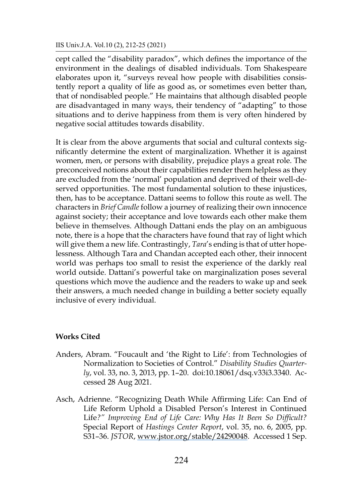## IIS Univ.J.A. Vol.10 (2), 212-25 (2021)

cept called the "disability paradox", which defines the importance of the environment in the dealings of disabled individuals. Tom Shakespeare elaborates upon it, "surveys reveal how people with disabilities consistently report a quality of life as good as, or sometimes even better than, that of nondisabled people." He maintains that although disabled people are disadvantaged in many ways, their tendency of "adapting" to those situations and to derive happiness from them is very often hindered by negative social attitudes towards disability.

It is clear from the above arguments that social and cultural contexts significantly determine the extent of marginalization. Whether it is against women, men, or persons with disability, prejudice plays a great role. The preconceived notions about their capabilities render them helpless as they are excluded from the 'normal' population and deprived of their well-deserved opportunities. The most fundamental solution to these injustices, then, has to be acceptance. Dattani seems to follow this route as well. The characters in *Brief Candle* follow a journey of realizing their own innocence against society; their acceptance and love towards each other make them believe in themselves. Although Dattani ends the play on an ambiguous note, there is a hope that the characters have found that ray of light which will give them a new life. Contrastingly, *Tara*'s ending is that of utter hopelessness. Although Tara and Chandan accepted each other, their innocent world was perhaps too small to resist the experience of the darkly real world outside. Dattani's powerful take on marginalization poses several questions which move the audience and the readers to wake up and seek their answers, a much needed change in building a better society equally inclusive of every individual.

## **Works Cited**

- Anders, Abram. "Foucault and 'the Right to Life': from Technologies of Normalization to Societies of Control." *Disability Studies Quarterly*, vol. 33, no. 3, 2013, pp. 1–20. doi:10.18061/dsq.v33i3.3340. Accessed 28 Aug 2021.
- Asch, Adrienne. "Recognizing Death While Affirming Life: Can End of Life Reform Uphold a Disabled Person's Interest in Continued Life*?" Improving End of Life Care: Why Has It Been So Difficult?* Special Report of *Hastings Center Report*, vol. 35, no. 6, 2005, pp. S31–36. *JSTOR*, [www.jstor.org/stable/24290048](http://www.jstor.org/stable/24290048). Accessed 1 Sep.